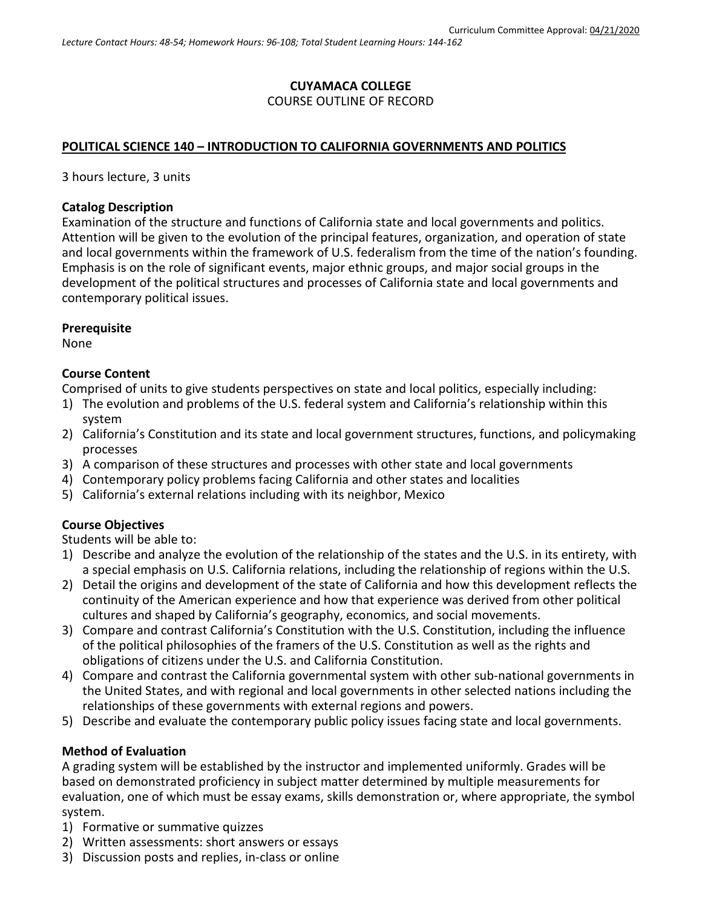## **CUYAMACA COLLEGE** COURSE OUTLINE OF RECORD

### **POLITICAL SCIENCE 140 – INTRODUCTION TO CALIFORNIA GOVERNMENTS AND POLITICS**

3 hours lecture, 3 units

#### **Catalog Description**

Examination of the structure and functions of California state and local governments and politics. Attention will be given to the evolution of the principal features, organization, and operation of state and local governments within the framework of U.S. federalism from the time of the nation's founding. Emphasis is on the role of significant events, major ethnic groups, and major social groups in the development of the political structures and processes of California state and local governments and contemporary political issues.

#### **Prerequisite**

None

#### **Course Content**

Comprised of units to give students perspectives on state and local politics, especially including:

- 1) The evolution and problems of the U.S. federal system and California's relationship within this system
- 2) California's Constitution and its state and local government structures, functions, and policymaking processes
- 3) A comparison of these structures and processes with other state and local governments
- 4) Contemporary policy problems facing California and other states and localities
- 5) California's external relations including with its neighbor, Mexico

### **Course Objectives**

Students will be able to:

- 1) Describe and analyze the evolution of the relationship of the states and the U.S. in its entirety, with a special emphasis on U.S. California relations, including the relationship of regions within the U.S.
- 2) Detail the origins and development of the state of California and how this development reflects the continuity of the American experience and how that experience was derived from other political cultures and shaped by California's geography, economics, and social movements.
- 3) Compare and contrast California's Constitution with the U.S. Constitution, including the influence of the political philosophies of the framers of the U.S. Constitution as well as the rights and obligations of citizens under the U.S. and California Constitution.
- 4) Compare and contrast the California governmental system with other sub-national governments in the United States, and with regional and local governments in other selected nations including the relationships of these governments with external regions and powers.
- 5) Describe and evaluate the contemporary public policy issues facing state and local governments.

### **Method of Evaluation**

A grading system will be established by the instructor and implemented uniformly. Grades will be based on demonstrated proficiency in subject matter determined by multiple measurements for evaluation, one of which must be essay exams, skills demonstration or, where appropriate, the symbol system.

- 1) Formative or summative quizzes
- 2) Written assessments: short answers or essays
- 3) Discussion posts and replies, in-class or online